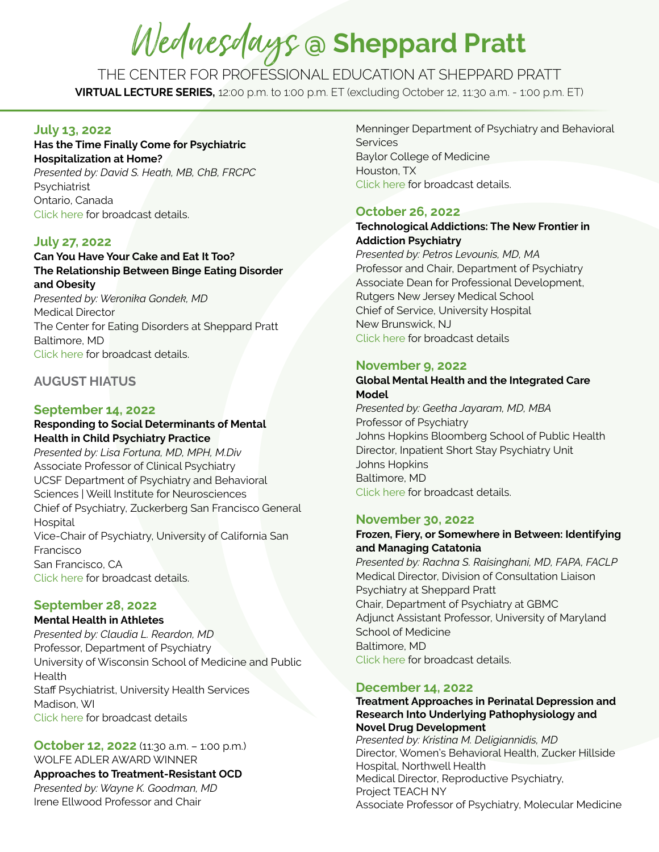# Wednesdays **@ Sheppard Pratt**

THE CENTER FOR PROFESSIONAL EDUCATION AT SHEPPARD PRATT **VIRTUAL LECTURE SERIES,** 12:00 p.m. to 1:00 p.m. ET (excluding October 12, 11:30 a.m. - 1:00 p.m. ET)

## **July 13, 2022**

#### **Has the Time Finally Come for Psychiatric Hospitalization at Home?**

*Presented by: David S. Heath, MB, ChB, FRCPC* **Psychiatrist** Ontario, Canada [Click here](https://onlinexperiences.com/Launch/Event/ShowKey=178907) for broadcast details.

# **July 27, 2022**

## **Can You Have Your Cake and Eat It Too? The Relationship Between Binge Eating Disorder and Obesity**

*Presented by: Weronika Gondek, MD* Medical Director The Center for Eating Disorders at Sheppard Pratt Baltimore, MD [Click here](https://onlinexperiences.com/Launch/Event/ShowKey=178908) for broadcast details.

# **AUGUST HIATUS**

## **September 14, 2022**

#### **Responding to Social Determinants of Mental Health in Child Psychiatry Practice**

*Presented by: Lisa Fortuna, MD, MPH, M.Div* Associate Professor of Clinical Psychiatry UCSF Department of Psychiatry and Behavioral Sciences | Weill Institute for Neurosciences Chief of Psychiatry, Zuckerberg San Francisco General Hospital Vice-Chair of Psychiatry, University of California San Francisco San Francisco, CA [Click here](https://onlinexperiences.com/Launch/Event/ShowKey=198398) for broadcast details.

# **September 28, 2022**

#### **Mental Health in Athletes**

*Presented by: Claudia L. Reardon, MD* Professor, Department of Psychiatry University of Wisconsin School of Medicine and Public Health Staff Psychiatrist, University Health Services Madison, WI [Click here](https://onlinexperiences.com/Launch/Event/ShowKey=198399) for broadcast details

# **October 12, 2022** (11:30 a.m. – 1:00 p.m.)

WOLFE ADLER AWARD WINNER **Approaches to Treatment-Resistant OCD** *Presented by: Wayne K. Goodman, MD* Irene Ellwood Professor and Chair

Menninger Department of Psychiatry and Behavioral **Services** Baylor College of Medicine Houston, TX [Click here](https://onlinexperiences.com/Launch/Event/ShowKey=198400) for broadcast details.

# **October 26, 2022**

#### **Technological Addictions: The New Frontier in Addiction Psychiatry**

*Presented by: Petros Levounis, MD, MA* Professor and Chair, Department of Psychiatry Associate Dean for Professional Development, Rutgers New Jersey Medical School Chief of Service, University Hospital New Brunswick, NJ [Click here](https://onlinexperiences.com/Launch/Event/ShowKey=198401) for broadcast details

#### **November 9, 2022**

#### **Global Mental Health and the Integrated Care Model**

*Presented by: Geetha Jayaram, MD, MBA* Professor of Psychiatry Johns Hopkins Bloomberg School of Public Health Director, Inpatient Short Stay Psychiatry Unit Johns Hopkins Baltimore, MD [Click here](https://onlinexperiences.com/Launch/Event/ShowKey=198402 ) for broadcast details.

# **November 30, 2022**

#### **Frozen, Fiery, or Somewhere in Between: Identifying and Managing Catatonia**

*Presented by: Rachna S. Raisinghani, MD, FAPA, FACLP* Medical Director, Division of Consultation Liaison Psychiatry at Sheppard Pratt Chair, Department of Psychiatry at GBMC Adjunct Assistant Professor, University of Maryland School of Medicine Baltimore, MD [Click here](https://onlinexperiences.com/Launch/Event/ShowKey=198403 ) for broadcast details.

#### **December 14, 2022**

#### **Treatment Approaches in Perinatal Depression and Research Into Underlying Pathophysiology and Novel Drug Development**

*Presented by: Kristina M. Deligiannidis, MD* Director, Women's Behavioral Health, Zucker Hillside Hospital, Northwell Health Medical Director, Reproductive Psychiatry, Project TEACH NY Associate Professor of Psychiatry, Molecular Medicine